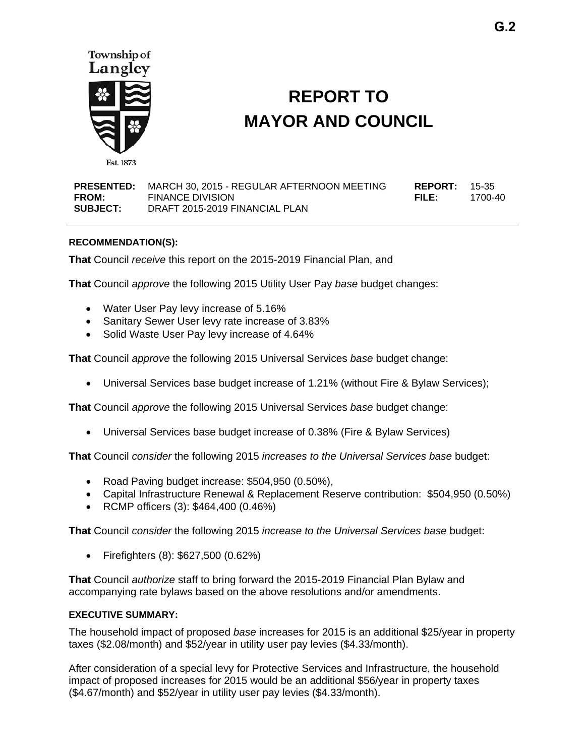

# **REPORT TO MAYOR AND COUNCIL**

| <b>PRESENTED:</b> | MARCH 30. 2015 - REGULAR AFTERNOON MEETING | <b>REPORT: 15-35</b> |         |
|-------------------|--------------------------------------------|----------------------|---------|
| <b>FROM:</b>      | <b>FINANCE DIVISION</b>                    | FILE:                | 1700-40 |
| <b>SUBJECT:</b>   | DRAFT 2015-2019 FINANCIAL PLAN             |                      |         |

#### **RECOMMENDATION(S):**

**That** Council *receive* this report on the 2015-2019 Financial Plan, and

**That** Council *approve* the following 2015 Utility User Pay *base* budget changes:

- Water User Pay levy increase of 5.16%
- Sanitary Sewer User levy rate increase of 3.83%
- Solid Waste User Pay levy increase of 4.64%

**That** Council *approve* the following 2015 Universal Services *base* budget change:

Universal Services base budget increase of 1.21% (without Fire & Bylaw Services);

**That** Council *approve* the following 2015 Universal Services *base* budget change:

Universal Services base budget increase of 0.38% (Fire & Bylaw Services)

**That** Council *consider* the following 2015 *increases to the Universal Services base* budget:

- Road Paving budget increase: \$504,950 (0.50%),
- Capital Infrastructure Renewal & Replacement Reserve contribution: \$504,950 (0.50%)
- RCMP officers (3): \$464,400 (0.46%)

**That** Council *consider* the following 2015 *increase to the Universal Services base* budget:

Firefighters (8): \$627,500 (0.62%)

**That** Council *authorize* staff to bring forward the 2015-2019 Financial Plan Bylaw and accompanying rate bylaws based on the above resolutions and/or amendments.

#### **EXECUTIVE SUMMARY:**

The household impact of proposed *base* increases for 2015 is an additional \$25/year in property taxes (\$2.08/month) and \$52/year in utility user pay levies (\$4.33/month).

After consideration of a special levy for Protective Services and Infrastructure, the household impact of proposed increases for 2015 would be an additional \$56/year in property taxes (\$4.67/month) and \$52/year in utility user pay levies (\$4.33/month).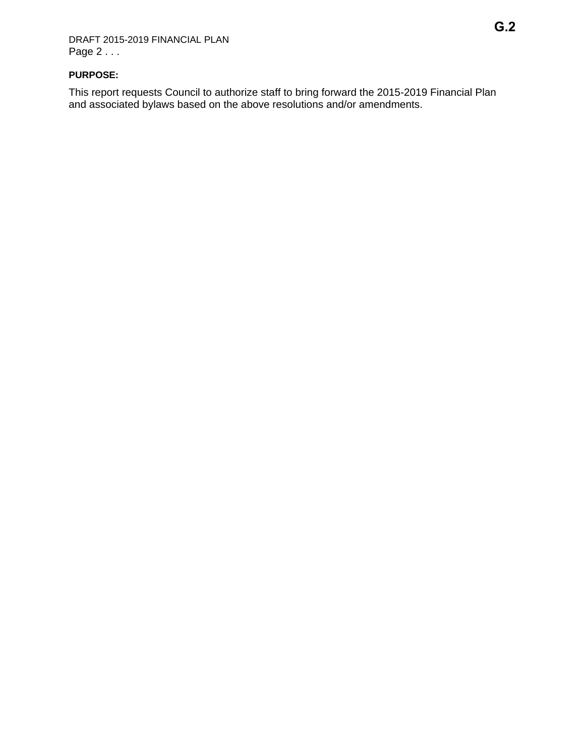## **PURPOSE:**

This report requests Council to authorize staff to bring forward the 2015-2019 Financial Plan and associated bylaws based on the above resolutions and/or amendments.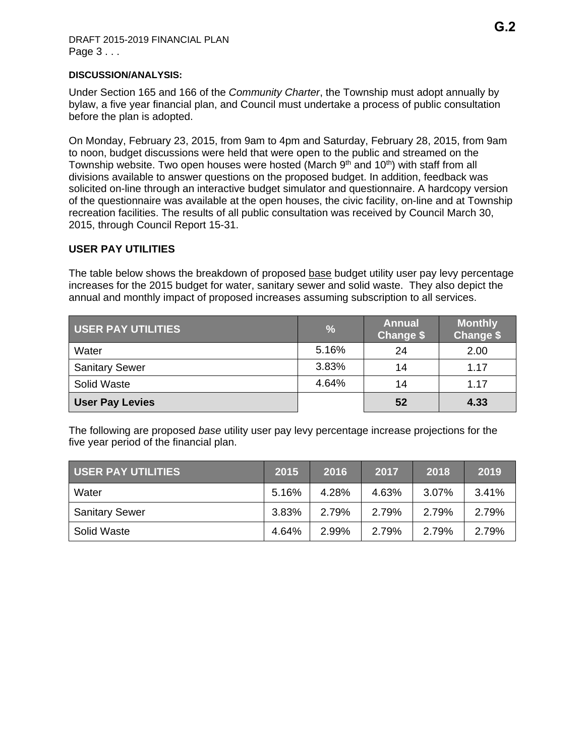#### **DISCUSSION/ANALYSIS:**

Under Section 165 and 166 of the *Community Charter*, the Township must adopt annually by bylaw, a five year financial plan, and Council must undertake a process of public consultation before the plan is adopted.

On Monday, February 23, 2015, from 9am to 4pm and Saturday, February 28, 2015, from 9am to noon, budget discussions were held that were open to the public and streamed on the Township website. Two open houses were hosted (March  $9<sup>th</sup>$  and  $10<sup>th</sup>$ ) with staff from all divisions available to answer questions on the proposed budget. In addition, feedback was solicited on-line through an interactive budget simulator and questionnaire. A hardcopy version of the questionnaire was available at the open houses, the civic facility, on-line and at Township recreation facilities. The results of all public consultation was received by Council March 30, 2015, through Council Report 15-31.

## **USER PAY UTILITIES**

The table below shows the breakdown of proposed base budget utility user pay levy percentage increases for the 2015 budget for water, sanitary sewer and solid waste. They also depict the annual and monthly impact of proposed increases assuming subscription to all services.

| <b>USER PAY UTILITIES</b> | $\frac{0}{6}$ | <b>Annual</b><br>Change \$ | <b>Monthly</b><br><b>Change \$</b> |
|---------------------------|---------------|----------------------------|------------------------------------|
| Water                     | 5.16%         | 24                         | 2.00                               |
| <b>Sanitary Sewer</b>     | 3.83%         | 14                         | 1.17                               |
| Solid Waste               | 4.64%         | 14                         | 1.17                               |
| <b>User Pay Levies</b>    |               | 52                         | 4.33                               |

The following are proposed *base* utility user pay levy percentage increase projections for the five year period of the financial plan.

| USER PAY UTILITIES    | 2015  | 2016  | 2017  | 2018  | 2019  |
|-----------------------|-------|-------|-------|-------|-------|
| Water                 | 5.16% | 4.28% | 4.63% | 3.07% | 3.41% |
| <b>Sanitary Sewer</b> | 3.83% | 2.79% | 2.79% | 2.79% | 2.79% |
| Solid Waste           | 4.64% | 2.99% | 2.79% | 2.79% | 2.79% |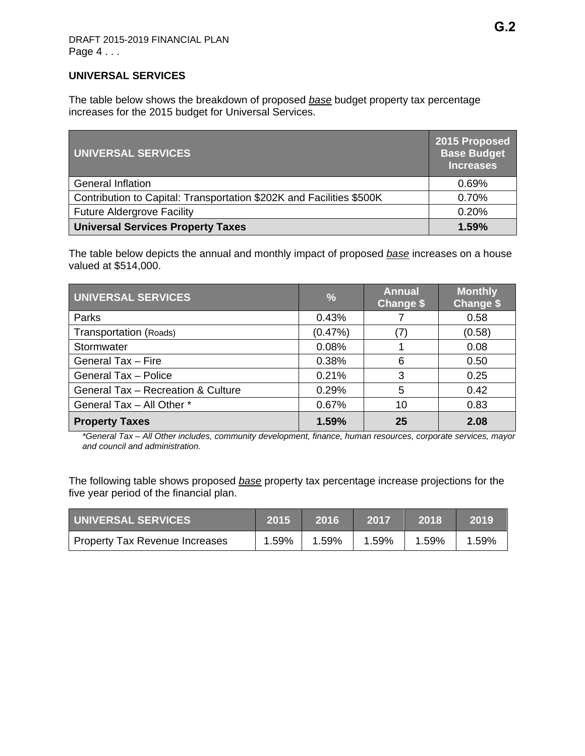## **UNIVERSAL SERVICES**

The table below shows the breakdown of proposed *base* budget property tax percentage increases for the 2015 budget for Universal Services.

| UNIVERSAL SERVICES                                                   | 2015 Proposed<br><b>Base Budget</b><br><b>Increases</b> |
|----------------------------------------------------------------------|---------------------------------------------------------|
| <b>General Inflation</b>                                             | 0.69%                                                   |
| Contribution to Capital: Transportation \$202K and Facilities \$500K | 0.70%                                                   |
| <b>Future Aldergrove Facility</b>                                    | 0.20%                                                   |
| <b>Universal Services Property Taxes</b>                             | 1.59%                                                   |

The table below depicts the annual and monthly impact of proposed *base* increases on a house valued at \$514,000.

| UNIVERSAL SERVICES                 | $\frac{9}{6}$ | <b>Annual</b><br><b>Change \$</b> | <b>Monthly</b><br><b>Change \$</b> |
|------------------------------------|---------------|-----------------------------------|------------------------------------|
| Parks                              | 0.43%         |                                   | 0.58                               |
| Transportation (Roads)             | $(0.47\%)$    |                                   | (0.58)                             |
| Stormwater                         | 0.08%         |                                   | 0.08                               |
| General Tax - Fire                 | 0.38%         | 6                                 | 0.50                               |
| <b>General Tax - Police</b>        | 0.21%         | 3                                 | 0.25                               |
| General Tax - Recreation & Culture | 0.29%         | 5                                 | 0.42                               |
| General Tax - All Other *          | 0.67%         | 10                                | 0.83                               |
| <b>Property Taxes</b>              | 1.59%         | 25                                | 2.08                               |

*\*General Tax – All Other includes, community development, finance, human resources, corporate services, mayor and council and administration.* 

The following table shows proposed *base* property tax percentage increase projections for the five year period of the financial plan.

| UNIVERSAL SERVICES             | 2015  | 2016  | 2017  | .2018 | 2019  |
|--------------------------------|-------|-------|-------|-------|-------|
| Property Tax Revenue Increases | 1.59% | 1.59% | 1.59% | 1.59% | 1.59% |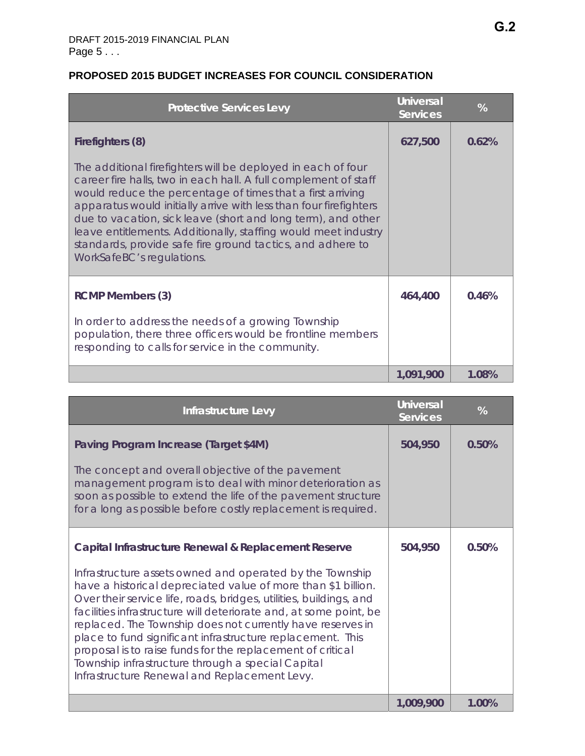| <b>Protective Services Levy</b>                                                                                                                                                                                                                                                                                                                                                                                                                                                                 | <b>Universal</b><br><b>Services</b> | %     |
|-------------------------------------------------------------------------------------------------------------------------------------------------------------------------------------------------------------------------------------------------------------------------------------------------------------------------------------------------------------------------------------------------------------------------------------------------------------------------------------------------|-------------------------------------|-------|
| Firefighters (8)                                                                                                                                                                                                                                                                                                                                                                                                                                                                                | 627,500                             | 0.62% |
| The additional firefighters will be deployed in each of four<br>career fire halls, two in each hall. A full complement of staff<br>would reduce the percentage of times that a first arriving<br>apparatus would initially arrive with less than four firefighters<br>due to vacation, sick leave (short and long term), and other<br>leave entitlements. Additionally, staffing would meet industry<br>standards, provide safe fire ground tactics, and adhere to<br>WorkSafeBC's regulations. |                                     |       |
| <b>RCMP Members (3)</b>                                                                                                                                                                                                                                                                                                                                                                                                                                                                         | 464,400                             | 0.46% |
| In order to address the needs of a growing Township<br>population, there three officers would be frontline members<br>responding to calls for service in the community.                                                                                                                                                                                                                                                                                                                         |                                     |       |
|                                                                                                                                                                                                                                                                                                                                                                                                                                                                                                 | 1,091,900                           | 1.08% |

# **PROPOSED 2015 BUDGET INCREASES FOR COUNCIL CONSIDERATION**

| Infrastructure Levy                                                                                                                                                                                                                                                                                                                                                                                                                                                                                                                                                 | <b>Universal</b><br><b>Services</b> | %     |
|---------------------------------------------------------------------------------------------------------------------------------------------------------------------------------------------------------------------------------------------------------------------------------------------------------------------------------------------------------------------------------------------------------------------------------------------------------------------------------------------------------------------------------------------------------------------|-------------------------------------|-------|
| Paving Program Increase (Target \$4M)                                                                                                                                                                                                                                                                                                                                                                                                                                                                                                                               | 504,950                             | 0.50% |
| The concept and overall objective of the pavement<br>management program is to deal with minor deterioration as<br>soon as possible to extend the life of the pavement structure<br>for a long as possible before costly replacement is required.                                                                                                                                                                                                                                                                                                                    |                                     |       |
| Capital Infrastructure Renewal & Replacement Reserve                                                                                                                                                                                                                                                                                                                                                                                                                                                                                                                | 504,950                             | 0.50% |
| Infrastructure assets owned and operated by the Township<br>have a historical depreciated value of more than \$1 billion.<br>Over their service life, roads, bridges, utilities, buildings, and<br>facilities infrastructure will deteriorate and, at some point, be<br>replaced. The Township does not currently have reserves in<br>place to fund significant infrastructure replacement. This<br>proposal is to raise funds for the replacement of critical<br>Township infrastructure through a special Capital<br>Infrastructure Renewal and Replacement Levy. |                                     |       |
|                                                                                                                                                                                                                                                                                                                                                                                                                                                                                                                                                                     | 1,009,900                           | 1.00% |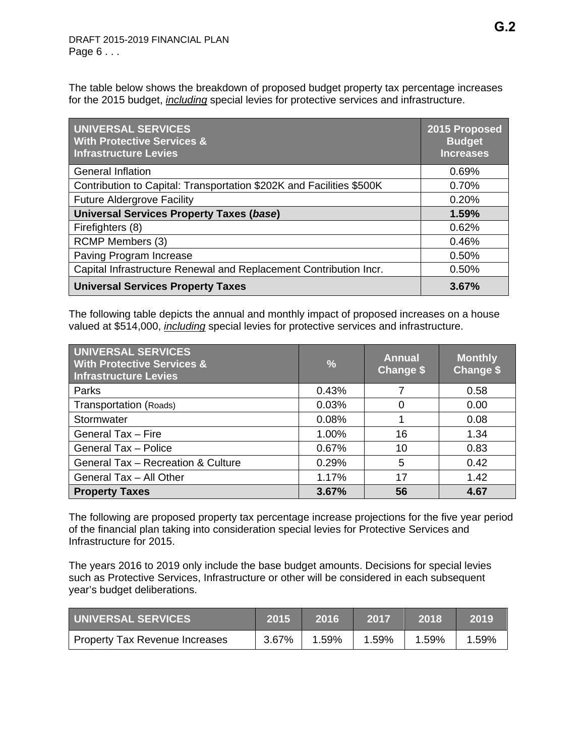The table below shows the breakdown of proposed budget property tax percentage increases for the 2015 budget, *including* special levies for protective services and infrastructure.

| UNIVERSAL SERVICES<br><b>With Protective Services &amp;</b><br><b>Infrastructure Levies</b> | 2015 Proposed<br><b>Budget</b><br><b>Increases</b> |
|---------------------------------------------------------------------------------------------|----------------------------------------------------|
| <b>General Inflation</b>                                                                    | 0.69%                                              |
| Contribution to Capital: Transportation \$202K and Facilities \$500K                        | 0.70%                                              |
| <b>Future Aldergrove Facility</b>                                                           | 0.20%                                              |
| <b>Universal Services Property Taxes (base)</b>                                             | 1.59%                                              |
| Firefighters (8)                                                                            | 0.62%                                              |
| RCMP Members (3)                                                                            | 0.46%                                              |
| Paving Program Increase                                                                     | 0.50%                                              |
| Capital Infrastructure Renewal and Replacement Contribution Incr.                           | 0.50%                                              |
| <b>Universal Services Property Taxes</b>                                                    | 3.67%                                              |

The following table depicts the annual and monthly impact of proposed increases on a house valued at \$514,000, *including* special levies for protective services and infrastructure.

| UNIVERSAL SERVICES<br><b>With Protective Services &amp;</b><br><b>Infrastructure Levies</b> | $\frac{9}{6}$ | <b>Annual</b><br><b>Change \$</b> | <b>Monthly</b><br><b>Change \$</b> |
|---------------------------------------------------------------------------------------------|---------------|-----------------------------------|------------------------------------|
| Parks                                                                                       | 0.43%         |                                   | 0.58                               |
| Transportation (Roads)                                                                      | 0.03%         | 0                                 | 0.00                               |
| Stormwater                                                                                  | 0.08%         |                                   | 0.08                               |
| General Tax - Fire                                                                          | 1.00%         | 16                                | 1.34                               |
| <b>General Tax - Police</b>                                                                 | 0.67%         | 10                                | 0.83                               |
| General Tax - Recreation & Culture                                                          | 0.29%         | 5                                 | 0.42                               |
| General Tax - All Other                                                                     | 1.17%         | 17                                | 1.42                               |
| <b>Property Taxes</b>                                                                       | 3.67%         | 56                                | 4.67                               |

The following are proposed property tax percentage increase projections for the five year period of the financial plan taking into consideration special levies for Protective Services and Infrastructure for 2015.

The years 2016 to 2019 only include the base budget amounts. Decisions for special levies such as Protective Services, Infrastructure or other will be considered in each subsequent year's budget deliberations.

| <b>I UNIVERSAL SERVICES</b>    | 2015  | 2016  | 2017  | 2018  | 2019  |
|--------------------------------|-------|-------|-------|-------|-------|
| Property Tax Revenue Increases | 3.67% | 1.59% | 1.59% | 1.59% | 1.59% |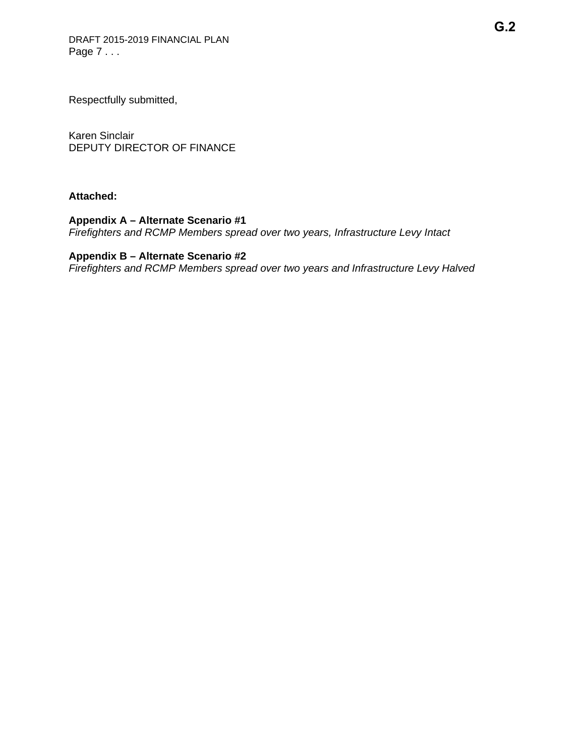Respectfully submitted,

Karen Sinclair DEPUTY DIRECTOR OF FINANCE

## **Attached:**

## **Appendix A – Alternate Scenario #1**

*Firefighters and RCMP Members spread over two years, Infrastructure Levy Intact* 

# **Appendix B – Alternate Scenario #2**

*Firefighters and RCMP Members spread over two years and Infrastructure Levy Halved*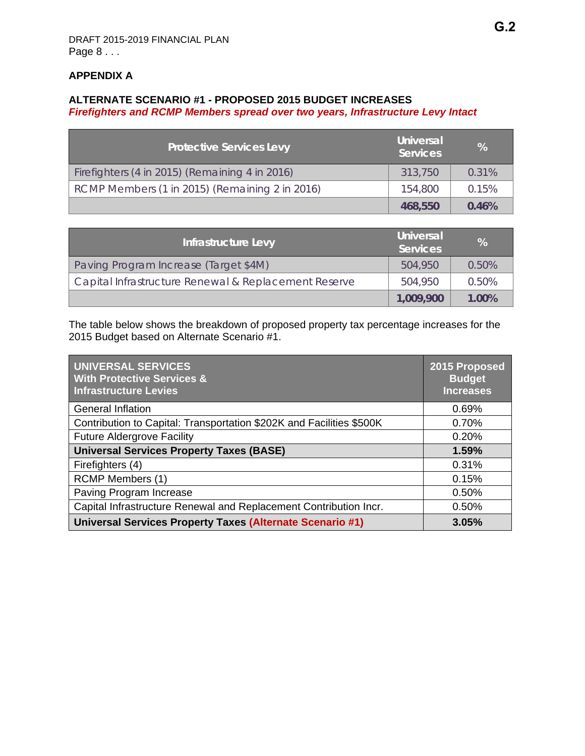# **APPENDIX A**

#### **ALTERNATE SCENARIO #1 - PROPOSED 2015 BUDGET INCREASES**  *Firefighters and RCMP Members spread over two years, Infrastructure Levy Intact*

| <b>Protective Services Levy</b>                | Universal<br><b>Services</b> | %     |
|------------------------------------------------|------------------------------|-------|
| Firefighters (4 in 2015) (Remaining 4 in 2016) | 313,750                      | 0.31% |
| RCMP Members (1 in 2015) (Remaining 2 in 2016) | 154,800                      | 0.15% |
|                                                | 468,550                      | 0.46% |

| Infrastructure Levy                                  | <b>Universal</b><br><b>Services</b> | %     |
|------------------------------------------------------|-------------------------------------|-------|
| Paving Program Increase (Target \$4M)                | 504,950                             | 0.50% |
| Capital Infrastructure Renewal & Replacement Reserve | 504,950                             | 0.50% |
|                                                      | 1,009,900                           | 1.00% |

The table below shows the breakdown of proposed property tax percentage increases for the 2015 Budget based on Alternate Scenario #1.

| <b>UNIVERSAL SERVICES</b><br><b>With Protective Services &amp;</b><br><b>Infrastructure Levies</b> | 2015 Proposed<br><b>Budget</b><br><b>Increases</b> |
|----------------------------------------------------------------------------------------------------|----------------------------------------------------|
| <b>General Inflation</b>                                                                           | 0.69%                                              |
| Contribution to Capital: Transportation \$202K and Facilities \$500K                               | 0.70%                                              |
| <b>Future Aldergrove Facility</b>                                                                  | 0.20%                                              |
| <b>Universal Services Property Taxes (BASE)</b>                                                    | 1.59%                                              |
| Firefighters (4)                                                                                   | 0.31%                                              |
| RCMP Members (1)                                                                                   | 0.15%                                              |
| Paving Program Increase                                                                            | 0.50%                                              |
| Capital Infrastructure Renewal and Replacement Contribution Incr.                                  | 0.50%                                              |
| Universal Services Property Taxes (Alternate Scenario #1)                                          | 3.05%                                              |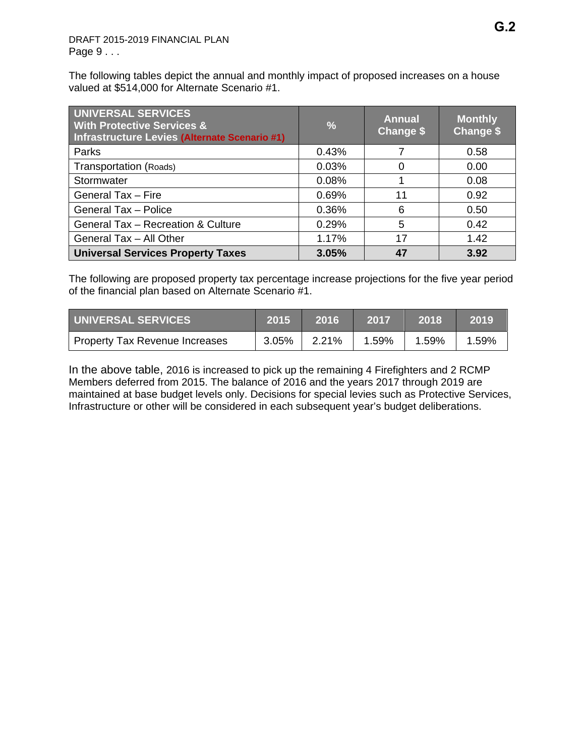The following tables depict the annual and monthly impact of proposed increases on a house valued at \$514,000 for Alternate Scenario #1.

| UNIVERSAL SERVICES<br><b>With Protective Services &amp;</b><br>Infrastructure Levies (Alternate Scenario #1) | $\frac{9}{6}$ | <b>Annual</b><br><b>Change \$</b> | <b>Monthly</b><br>Change \$ |
|--------------------------------------------------------------------------------------------------------------|---------------|-----------------------------------|-----------------------------|
| Parks                                                                                                        | 0.43%         |                                   | 0.58                        |
| Transportation (Roads)                                                                                       | 0.03%         | 0                                 | 0.00                        |
| Stormwater                                                                                                   | 0.08%         |                                   | 0.08                        |
| General Tax - Fire                                                                                           | 0.69%         | 11                                | 0.92                        |
| <b>General Tax - Police</b>                                                                                  | 0.36%         | 6                                 | 0.50                        |
| General Tax - Recreation & Culture                                                                           | 0.29%         | 5                                 | 0.42                        |
| General Tax - All Other                                                                                      | 1.17%         | 17                                | 1.42                        |
| <b>Universal Services Property Taxes</b>                                                                     | 3.05%         | 47                                | 3.92                        |

The following are proposed property tax percentage increase projections for the five year period of the financial plan based on Alternate Scenario #1.

| UNIVERSAL SERVICES             | 2015     | 2016  | 2017  | 2018  | 2019  |
|--------------------------------|----------|-------|-------|-------|-------|
| Property Tax Revenue Increases | $3.05\%$ | 2.21% | 1.59% | 1.59% | 1.59% |

In the above table, 2016 is increased to pick up the remaining 4 Firefighters and 2 RCMP Members deferred from 2015. The balance of 2016 and the years 2017 through 2019 are maintained at base budget levels only. Decisions for special levies such as Protective Services, Infrastructure or other will be considered in each subsequent year's budget deliberations.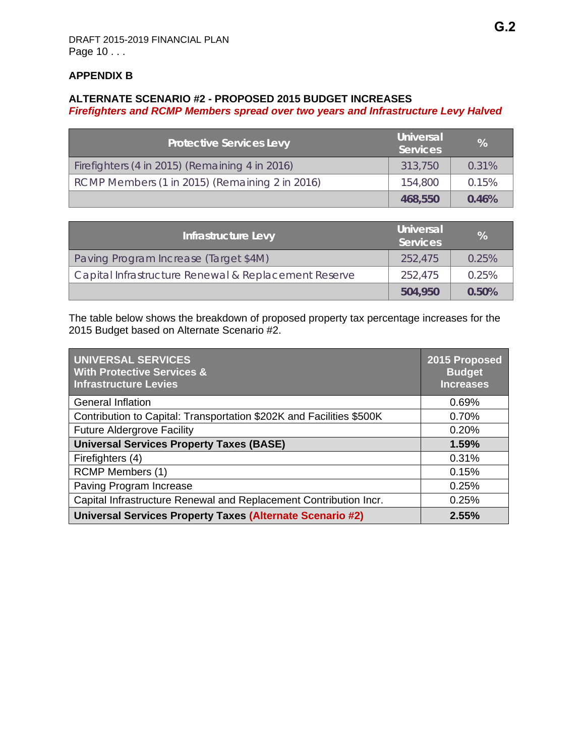## **APPENDIX B**

#### **ALTERNATE SCENARIO #2 - PROPOSED 2015 BUDGET INCREASES**  *Firefighters and RCMP Members spread over two years and Infrastructure Levy Halved*

| <b>Protective Services Levy</b>                | <b>Universal</b><br><b>Services</b> | %     |
|------------------------------------------------|-------------------------------------|-------|
| Firefighters (4 in 2015) (Remaining 4 in 2016) | 313,750                             | 0.31% |
| RCMP Members (1 in 2015) (Remaining 2 in 2016) | 154,800                             | 0.15% |
|                                                | 468,550                             | 0.46% |

| Infrastructure Levy                                  | <b>Universal</b><br><b>Services</b> | $\%$  |
|------------------------------------------------------|-------------------------------------|-------|
| Paving Program Increase (Target \$4M)                | 252,475                             | 0.25% |
| Capital Infrastructure Renewal & Replacement Reserve | 252.475                             | 0.25% |
|                                                      | 504,950                             | 0.50% |

The table below shows the breakdown of proposed property tax percentage increases for the 2015 Budget based on Alternate Scenario #2.

| <b>UNIVERSAL SERVICES</b><br><b>With Protective Services &amp;</b><br><b>Infrastructure Levies</b> | 2015 Proposed<br><b>Budget</b><br><b>Increases</b> |
|----------------------------------------------------------------------------------------------------|----------------------------------------------------|
| <b>General Inflation</b>                                                                           | 0.69%                                              |
| Contribution to Capital: Transportation \$202K and Facilities \$500K                               | 0.70%                                              |
| <b>Future Aldergrove Facility</b>                                                                  | 0.20%                                              |
| <b>Universal Services Property Taxes (BASE)</b>                                                    | 1.59%                                              |
| Firefighters (4)                                                                                   | 0.31%                                              |
| <b>RCMP Members (1)</b>                                                                            | 0.15%                                              |
| Paving Program Increase                                                                            | 0.25%                                              |
| Capital Infrastructure Renewal and Replacement Contribution Incr.                                  | 0.25%                                              |
| Universal Services Property Taxes (Alternate Scenario #2)                                          | 2.55%                                              |